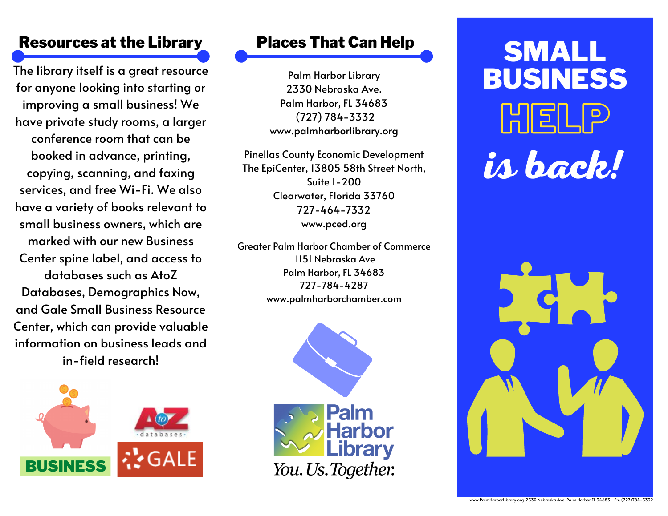The library itself is a great resource for anyone looking into starting or improving a small business! We have private study rooms, a larger conference room that can be booked in advance, printing, copying, scanning, and faxing services, and free Wi-Fi. We also have a variety of books relevant to small business owners, which are marked with our new Business Center spine label, and access to databases such as AtoZ Databases, Demographics Now, and Gale Small Business Resource Center, which can provide valuable information on business leads and in-field research!



### Places That Can Help

Palm Harbor Library 2330 Nebraska Ave. Palm Harbor, FL 34683 (727) 784-3332 www.palmharborlibrary.org

Pinellas County Economic Development The EpiCenter, 13805 58th Street North, Suite 1-200 Clearwater, Florida 33760 727-464-7332 www.pced.org

Greater Palm Harbor Chamber of Commerce 1151 [Nebraska](https://www.google.com/maps/place/Greater+Palm+Harbor+Chamber+of+Commerce/@28.0792746,-82.7677682,17z/data=!3m1!4b1!4m5!3m4!1s0x88c2f2ef35d9eafd:0x49606a56aceab0de!8m2!3d28.0792746!4d-82.7655795) Ave Palm [Harbor,](https://www.google.com/maps/place/Greater+Palm+Harbor+Chamber+of+Commerce/@28.0792746,-82.7677682,17z/data=!3m1!4b1!4m5!3m4!1s0x88c2f2ef35d9eafd:0x49606a56aceab0de!8m2!3d28.0792746!4d-82.7655795) FL 34683 [727-784-4287](tel:7277844287) www.palmharborchamber.com



## Resources at the Library Places That Can Help<br>
SMALL BUSINESS HEL **is back!**